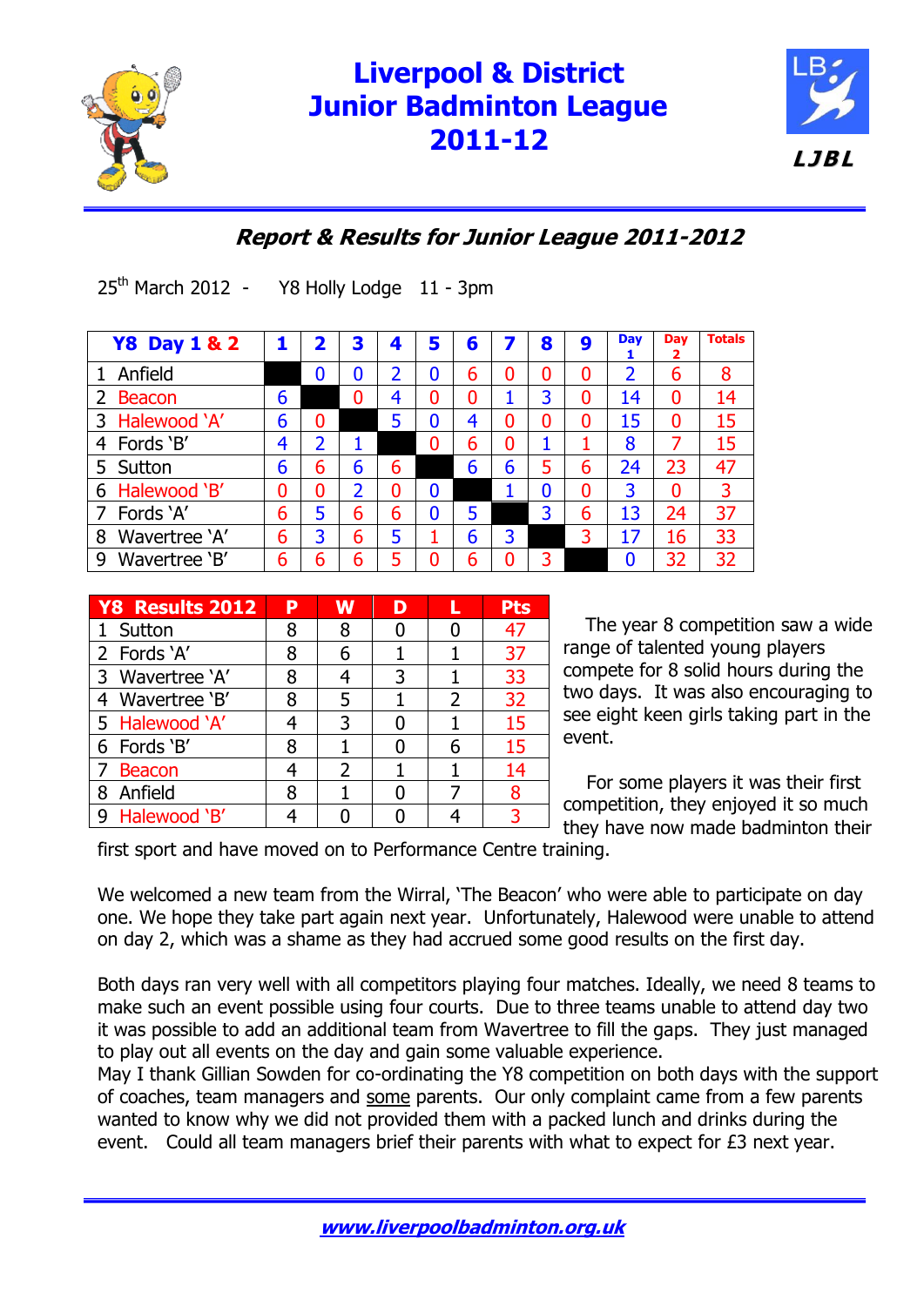

# **Liverpool & District Junior Badminton League 2011-12**



## **Report & Results for Junior League 2011-2012**

I **Y8 Day 1 & 2 1 2 3 4 5 6 7 8 9 Day Day Totals**

25<sup>th</sup> March 2012 - Y8 Holly Lodge 11 - 3pm

| <b>TO DAY L &amp; Z</b>         |   |   | د | 4 | Э | $\bullet$ |   | О | Э | 1  | 2        |    |
|---------------------------------|---|---|---|---|---|-----------|---|---|---|----|----------|----|
| 1 Anfield                       |   | 0 | 0 |   | 0 | 6         |   |   | 0 |    | 6        | 8  |
| $\overline{2}$<br><b>Beacon</b> | 6 |   | 0 | 4 | 0 | 0         |   | 3 | 0 | 14 | 0        | 14 |
| 3 Halewood 'A'                  | 6 | 0 |   | 5 | 0 |           |   |   | 0 | 15 | $\bf{0}$ | 15 |
| 4 Fords 'B'                     | 4 | 2 |   |   | 0 | 6         |   |   |   | 8  | 7        | 15 |
| 5 Sutton                        | 6 | 6 | 6 | 6 |   | 6         | 6 | 5 | 6 | 24 | 23       | 47 |
| 6 Halewood 'B'                  | 0 | 0 | 2 | 0 | 0 |           |   | 0 | 0 | 3  | $\bf{0}$ | 3  |
| 7 Fords 'A'                     | 6 | 5 | 6 | 6 | 0 |           |   | 3 | 6 | 13 | 24       | 37 |
| Wavertree 'A'<br>8              | 6 | 3 | 6 | 5 |   | 6         | 3 |   | 3 | 17 | 16       | 33 |
| Wavertree 'B'<br>9              | 6 | 6 | 6 |   |   | n         |   |   |   |    | 32       | 32 |

| Y8 Results 2012 | P | W             | D |               | Pts |
|-----------------|---|---------------|---|---------------|-----|
| 1 Sutton        | 8 | 8             |   |               | 47  |
| 2 Fords 'A'     | 8 | 6             |   |               | 37  |
| 3 Wavertree 'A' | 8 |               | 3 |               | 33  |
| 4 Wavertree 'B' | 8 |               |   | $\mathcal{P}$ | 32  |
| 5 Halewood 'A'  |   | 3             |   |               | 15  |
| 6 Fords 'B'     | 8 |               |   | 6             | 15  |
| 7 Beacon        | 4 | $\mathcal{P}$ |   |               | 14  |
| Anfield<br>8    | 8 |               |   |               | 8   |
| 9 Halewood 'B'  |   |               |   |               | 3   |

The year 8 competition saw a wide range of talented young players compete for 8 solid hours during the two days. It was also encouraging to see eight keen girls taking part in the event.

 For some players it was their first competition, they enjoyed it so much they have now made badminton their

first sport and have moved on to Performance Centre training.

We welcomed a new team from the Wirral, 'The Beacon' who were able to participate on day one. We hope they take part again next year. Unfortunately, Halewood were unable to attend on day 2, which was a shame as they had accrued some good results on the first day.

Both days ran very well with all competitors playing four matches. Ideally, we need 8 teams to make such an event possible using four courts. Due to three teams unable to attend day two it was possible to add an additional team from Wavertree to fill the gaps. They just managed to play out all events on the day and gain some valuable experience.

May I thank Gillian Sowden for co-ordinating the Y8 competition on both days with the support of coaches, team managers and some parents. Our only complaint came from a few parents wanted to know why we did not provided them with a packed lunch and drinks during the event. Could all team managers brief their parents with what to expect for £3 next year.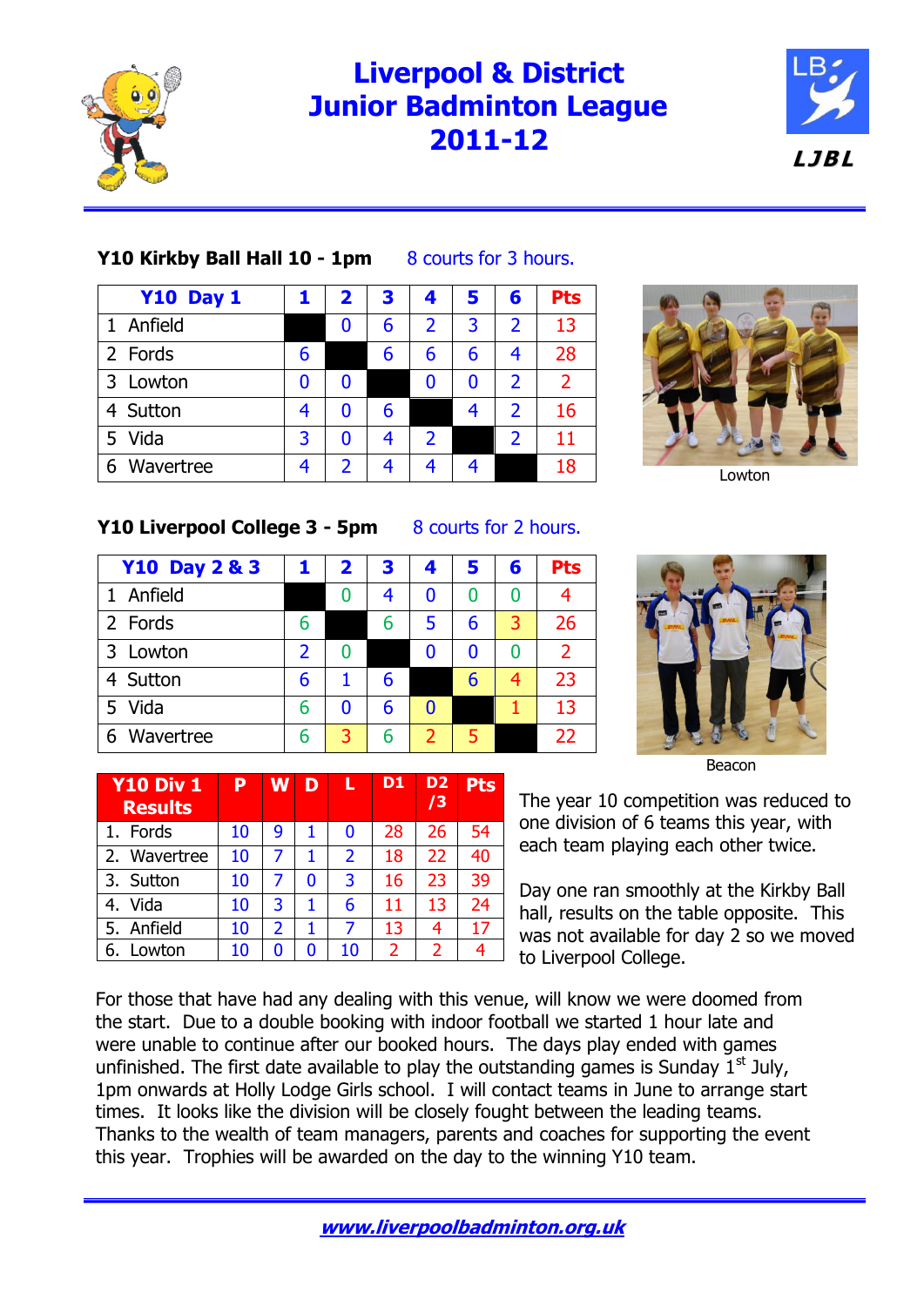

**Y10 Div 1 Results**

# **Liverpool & District Junior Badminton League 2011-12**



#### **Y10 Kirkby Ball Hall 10 - 1pm** 8 courts for 3 hours.

| <b>Y10 Day 1</b> |   | $\mathbf{2}$ | 3 | 4              | 5 | 6              | <b>Pts</b>     |
|------------------|---|--------------|---|----------------|---|----------------|----------------|
| Anfield          |   | 0            | 6 | $\overline{2}$ | 3 | $\overline{2}$ | 13             |
| 2 Fords          | 6 |              | 6 | 6              | 6 | 4              | 28             |
| Lowton<br>3      |   |              |   | 0              | 0 | $\overline{2}$ | $\overline{2}$ |
| 4 Sutton         | 4 |              | 6 |                | 4 | 2              | 16             |
| Vida<br>5        | २ | 0            | 4 | $\overline{2}$ |   | $\overline{2}$ | 11             |
| Wavertree<br>6   |   | 2            |   |                |   |                | 18             |



Lowton

#### **Y10 Liverpool College 3 - 5pm 8 courts for 2 hours.**

| <b>Y10 Day 2 &amp; 3</b> |   | $\mathbf{2}$ | 3 | 4              | 5 | 6 | <b>Pts</b> |
|--------------------------|---|--------------|---|----------------|---|---|------------|
| Anfield<br>$\mathbf{1}$  |   | 0            | 4 | 0              | O | O |            |
| 2 Fords                  | 6 |              | 6 | 5              | 6 | 3 | 26         |
| 3 Lowton                 | 2 |              |   | 0              |   |   | っ          |
| 4 Sutton                 | 6 |              | 6 |                | 6 | 4 | 23         |
| 5 Vida                   | 6 | 0            | 6 | $\bf{0}$       |   |   | 13         |
| Wavertree<br>6           | 6 | 3            | 6 | $\overline{2}$ | 5 |   | 22         |

**P W D L D1 D2**

1. Fords | 10 | 9 | 1 | 0 | 28 | 26 | 54 2. Wavertree  $10 \mid 7 \mid 1 \mid 2 \mid 18 \mid 22 \mid 40$ 3. Sutton | 10 | 7 | 0 | 3 | 16 | 23 | 39 4. Vida | 10 | 3 | 1 | 6 | 11 | 13 | 24 5. Anfield 10 2 1 7 13 4 17 6. Lowton | 10 0 0 10 2 2 4

Beacon

The year 10 competition was reduced to one division of 6 teams this year, with each team playing each other twice.

Day one ran smoothly at the Kirkby Ball hall, results on the table opposite. This was not available for day 2 so we moved to Liverpool College.

For those that have had any dealing with this venue, will know we were doomed from the start. Due to a double booking with indoor football we started 1 hour late and were unable to continue after our booked hours. The days play ended with games unfinished. The first date available to play the outstanding games is Sunday  $1<sup>st</sup>$  July, 1pm onwards at Holly Lodge Girls school. I will contact teams in June to arrange start times. It looks like the division will be closely fought between the leading teams. Thanks to the wealth of team managers, parents and coaches for supporting the event this year. Trophies will be awarded on the day to the winning Y10 team.

**/3**

**Pts**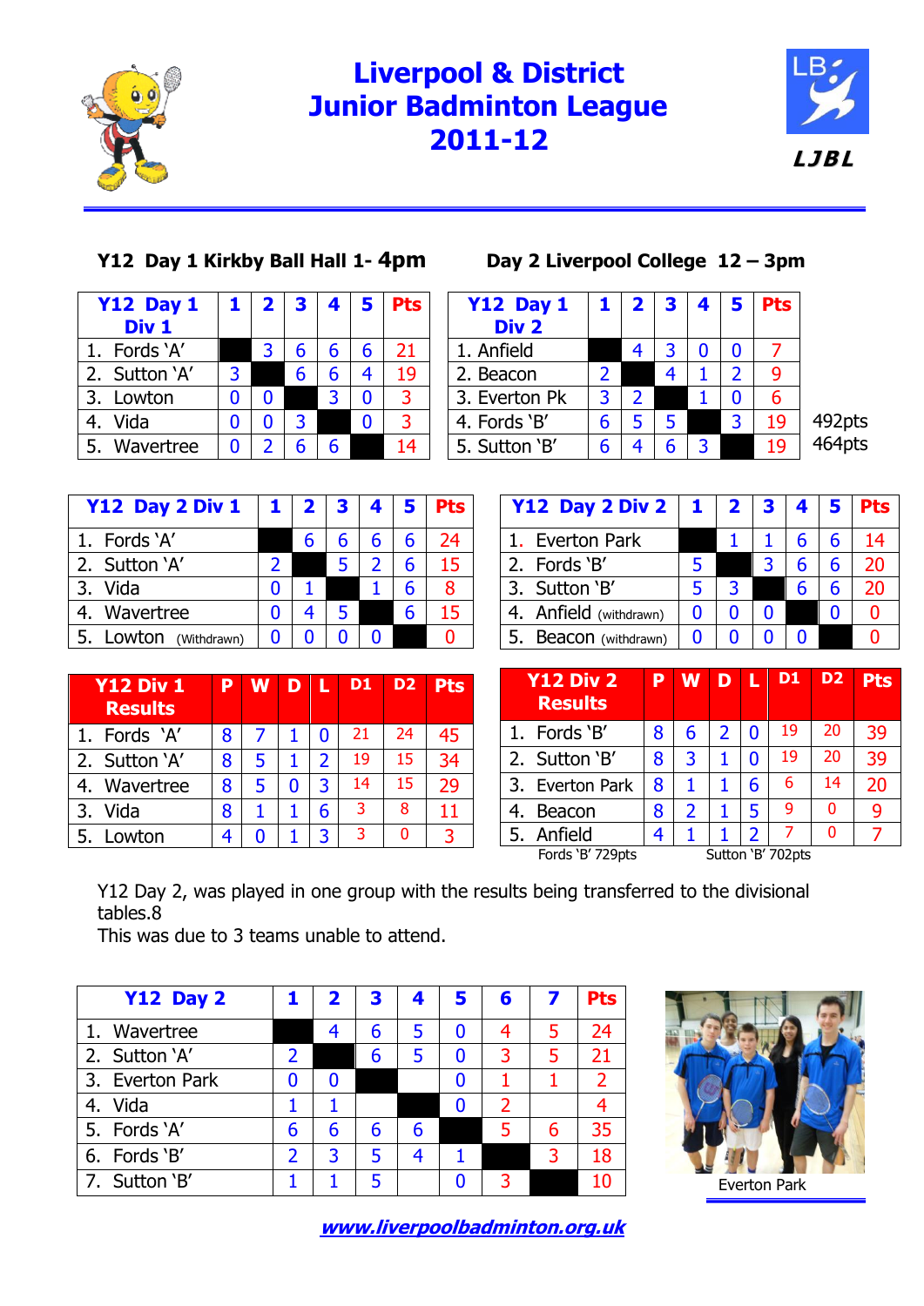

## **Liverpool & District Junior Badminton League 2011-12**



### **Y12 Day 1 Kirkby Ball Hall 1- 4pm Day 2 Liverpool College 12 – 3pm**

| <b>Y12 Day 1</b> | 1                | $\mathbf{2}$ | 3 | 4 | 5 | <b>Pts</b> |
|------------------|------------------|--------------|---|---|---|------------|
|                  |                  |              |   |   |   |            |
| 1. Fords 'A'     |                  | 3            | 6 | 6 | 6 | 21         |
| 2. Sutton 'A'    | 3                |              | 6 | 6 |   | 19         |
| 3. Lowton        |                  |              |   | २ | N |            |
|                  |                  |              | 3 |   | ŋ |            |
| Wavertree        |                  | 2            | 6 | 6 |   | 14         |
|                  | Div <sub>1</sub> |              |   |   |   |            |

| <b>Y12 Day 1</b> | 1.            |               | $2 \mid 3$ | 45 |   | <b>Pts</b> |                  |
|------------------|---------------|---------------|------------|----|---|------------|------------------|
| Div <sub>2</sub> |               |               |            |    |   |            |                  |
| 1. Anfield       |               |               |            |    |   |            |                  |
| 2. Beacon        | $\mathcal{P}$ |               |            |    |   |            |                  |
| 3. Everton Pk    | 3             | $\mathcal{P}$ |            |    |   | 6          |                  |
| 4. Fords 'B'     | 6             |               | 5          |    | 3 | 19         | 492pts<br>464pts |
| 5. Sutton 'B'    |               |               | հ          | 3  |   | 19         |                  |
|                  |               |               |            |    |   |            |                  |

| Y12 Day 2 Div 1       | $\vert 1 \vert$ |   | $2 \mid 3$ | $\left  \right $ | <b>Pts</b> |
|-----------------------|-----------------|---|------------|------------------|------------|
| 1. Fords 'A'          |                 | 6 |            |                  | 24         |
| 2. Sutton 'A'         | $\mathcal{P}$   |   |            |                  | 15         |
| 3. Vida               | 0               |   |            |                  | 8          |
| 4. Wavertree          | 0               |   |            |                  | 15         |
| 5. Lowton (Withdrawn) | 0               | በ |            |                  |            |

| Y12 Day 2 Div 2        | $\mathbf{1}$ | $\mathbf{2}$ |   |  | <b>Pts</b> |
|------------------------|--------------|--------------|---|--|------------|
| 1. Everton Park        |              |              |   |  | 14         |
| 2. Fords 'B'           |              |              | 3 |  | 20         |
| 3. Sutton 'B'          |              |              |   |  | 20         |
| 4. Anfield (withdrawn) |              |              |   |  |            |
| 5. Beacon (withdrawn)  |              |              |   |  |            |

| <b>Y12 Div 1</b><br><b>Results</b> | P | <b>W</b> | D | A | D <sub>1</sub> | D <sub>2</sub> | <b>Pts</b> |
|------------------------------------|---|----------|---|---|----------------|----------------|------------|
| 1. Fords 'A'                       | 8 |          |   | n | 21             | 24             | 45         |
| 2. Sutton 'A'                      | 8 | 5        |   | 2 | 19             | 15             | 34         |
| 4. Wavertree                       | 8 | 5        |   | 3 | 14             | 15             | 29         |
| 3.<br>Vida                         | 8 |          |   | 6 | 3              | 8              | 11         |
| 5. Lowton                          |   |          |   |   | 3              | 0              | २          |

| <b>Y12 Div 2</b><br><b>Results</b> | P | <b>W</b>      | D | ◆ | D <sub>1</sub>    | D <sub>2</sub> | <b>Pts</b> |
|------------------------------------|---|---------------|---|---|-------------------|----------------|------------|
| 1. Fords 'B'                       | 8 | 6             | 2 | 0 | 19                | 20             | 39         |
| 2. Sutton 'B'                      | 8 | 3             |   |   | 19                | 20             | 39         |
| 3. Everton Park                    | 8 |               |   | 6 | 6                 | 14             | 20         |
| Beacon                             | 8 | $\mathcal{L}$ |   | 5 | 9                 | 0              | 9          |
| 5. Anfield                         |   |               |   | 2 |                   | 0              |            |
| Fords 'B' 729pts                   |   |               |   |   | Sutton 'B' 702pts |                |            |

Y12 Day 2, was played in one group with the results being transferred to the divisional tables.8

This was due to 3 teams unable to attend.

| <b>Y12 Day 2</b> |                          |   | 3 | 4 | 5 | 6 |    | <b>Pts</b>     |
|------------------|--------------------------|---|---|---|---|---|----|----------------|
| 1. Wavertree     |                          |   | 6 | 5 | 0 | 4 |    | 24             |
| 2. Sutton 'A'    | 2                        |   | h | 5 | 0 | 3 |    | 21             |
| 3. Everton Park  | 0                        |   |   |   | 0 |   |    | $\overline{2}$ |
| 4. Vida          |                          |   |   |   | 0 | 2 |    |                |
| 5. Fords 'A'     | 6                        | 6 | 6 | 6 |   |   | 6  | 35             |
| 6. Fords 'B'     | $\overline{\phantom{a}}$ | 3 |   |   |   |   | ़3 | 18             |
| 7. Sutton 'B'    |                          |   |   |   |   |   |    |                |



**[www.liverpoolbadminton.org.uk](http://www.liverpoolbadminton.org.uk/)**